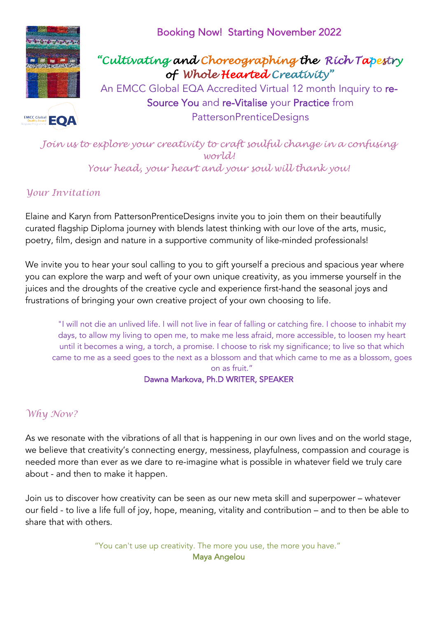

## Booking Now! Starting November 2022

# *"Cultivating and Choreographing the Rich Tapestry of Whole Hearted Creativity"*

An EMCC Global EQA Accredited Virtual 12 month Inquiry to re-Source You and re-Vitalise your Practice from PattersonPrenticeDesigns

*Join us to explore your creativity to craft soulful change in a confusing world! Your head, your heart and your soul will thank you!*

### *Your Invitation*

Elaine and Karyn from PattersonPrenticeDesigns invite you to join them on their beautifully curated flagship Diploma journey with blends latest thinking with our love of the arts, music, poetry, film, design and nature in a supportive community of like-minded professionals!

We invite you to hear your soul calling to you to gift yourself a precious and spacious year where you can explore the warp and weft of your own unique creativity, as you immerse yourself in the juices and the droughts of the creative cycle and experience first-hand the seasonal joys and frustrations of bringing your own creative project of your own choosing to life.

"I will not die an unlived life. I will not live in fear of falling or catching fire. I choose to inhabit my days, to allow my living to open me, to make me less afraid, more accessible, to loosen my heart until it becomes a wing, a torch, a promise. I choose to risk my significance; to live so that which came to me as a seed goes to the next as a blossom and that which came to me as a blossom, goes on as fruit."

### Dawna Markova, Ph.D WRITER, SPEAKER

### *Why Now?*

As we resonate with the vibrations of all that is happening in our own lives and on the world stage, we believe that creativity's connecting energy, messiness, playfulness, compassion and courage is needed more than ever as we dare to re-imagine what is possible in whatever field we truly care about - and then to make it happen.

Join us to discover how creativity can be seen as our new meta skill and superpower – whatever our field - to live a life full of joy, hope, meaning, vitality and contribution – and to then be able to share that with others.

> "You can't use up creativity. The more you use, the more you have." Maya Angelou